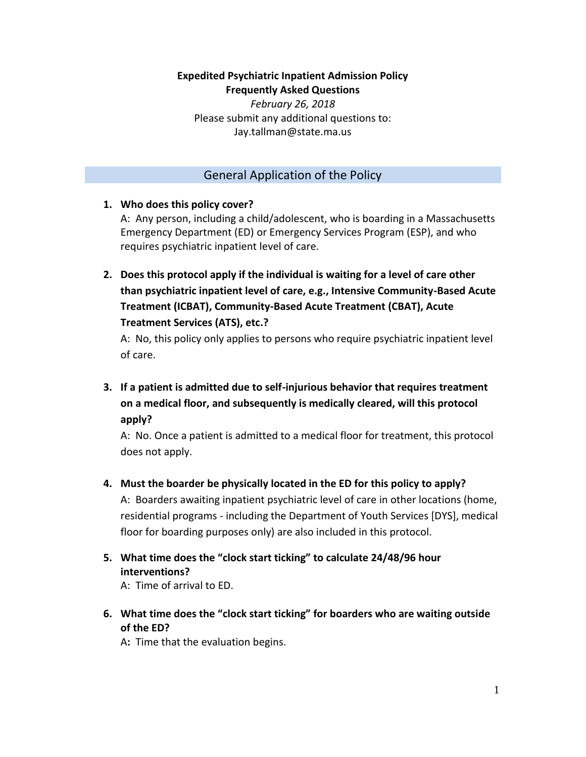# **Expedited Psychiatric Inpatient Admission Policy**

**Frequently Asked Questions**

*February 26, 2018* Please submit any additional questions to: Jay.tallman@state.ma.us

#### General Application of the Policy

#### **1. Who does this policy cover?**

A: Any person, including a child/adolescent, who is boarding in a Massachusetts Emergency Department (ED) or Emergency Services Program (ESP), and who requires psychiatric inpatient level of care.

**2. Does this protocol apply if the individual is waiting for a level of care other than psychiatric inpatient level of care, e.g., Intensive Community-Based Acute Treatment (ICBAT), Community-Based Acute Treatment (CBAT), Acute Treatment Services (ATS), etc.?** 

A: No, this policy only applies to persons who require psychiatric inpatient level of care.

**3. If a patient is admitted due to self-injurious behavior that requires treatment on a medical floor, and subsequently is medically cleared, will this protocol apply?**

A: No. Once a patient is admitted to a medical floor for treatment, this protocol does not apply.

#### **4. Must the boarder be physically located in the ED for this policy to apply?**

A: Boarders awaiting inpatient psychiatric level of care in other locations (home, residential programs - including the Department of Youth Services [DYS], medical floor for boarding purposes only) are also included in this protocol.

**5. What time does the "clock start ticking" to calculate 24/48/96 hour interventions?**

A: Time of arrival to ED.

**6. What time does the "clock start ticking" for boarders who are waiting outside of the ED?** 

A**:**Time that the evaluation begins.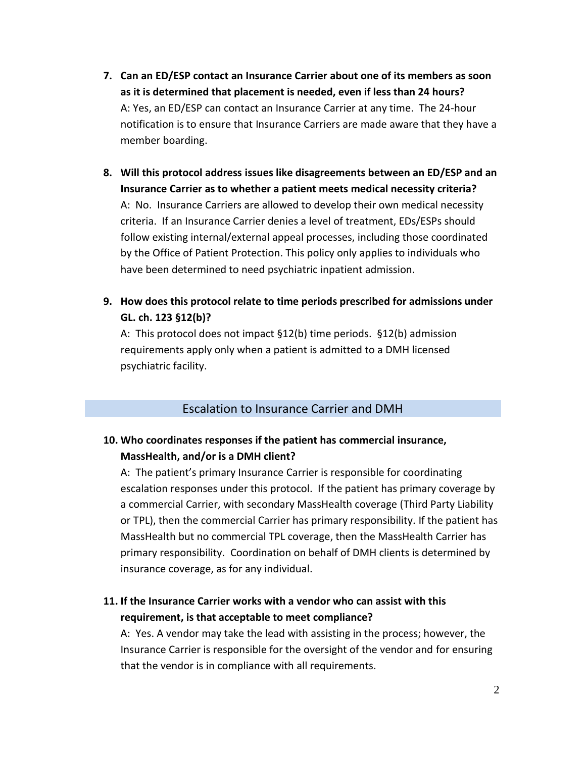- **7. Can an ED/ESP contact an Insurance Carrier about one of its members as soon as it is determined that placement is needed, even if less than 24 hours?**  A: Yes, an ED/ESP can contact an Insurance Carrier at any time. The 24-hour notification is to ensure that Insurance Carriers are made aware that they have a member boarding.
- **8. Will this protocol address issues like disagreements between an ED/ESP and an Insurance Carrier as to whether a patient meets medical necessity criteria?** A: No. Insurance Carriers are allowed to develop their own medical necessity criteria. If an Insurance Carrier denies a level of treatment, EDs/ESPs should follow existing internal/external appeal processes, including those coordinated by the Office of Patient Protection. This policy only applies to individuals who have been determined to need psychiatric inpatient admission.
- **9. How does this protocol relate to time periods prescribed for admissions under GL. ch. 123 §12(b)?**

A: This protocol does not impact §12(b) time periods. §12(b) admission requirements apply only when a patient is admitted to a DMH licensed psychiatric facility.

#### Escalation to Insurance Carrier and DMH

### **10. Who coordinates responses if the patient has commercial insurance, MassHealth, and/or is a DMH client?**

A: The patient's primary Insurance Carrier is responsible for coordinating escalation responses under this protocol. If the patient has primary coverage by a commercial Carrier, with secondary MassHealth coverage (Third Party Liability or TPL), then the commercial Carrier has primary responsibility. If the patient has MassHealth but no commercial TPL coverage, then the MassHealth Carrier has primary responsibility. Coordination on behalf of DMH clients is determined by insurance coverage, as for any individual.

### **11. If the Insurance Carrier works with a vendor who can assist with this requirement, is that acceptable to meet compliance?**

A: Yes. A vendor may take the lead with assisting in the process; however, the Insurance Carrier is responsible for the oversight of the vendor and for ensuring that the vendor is in compliance with all requirements.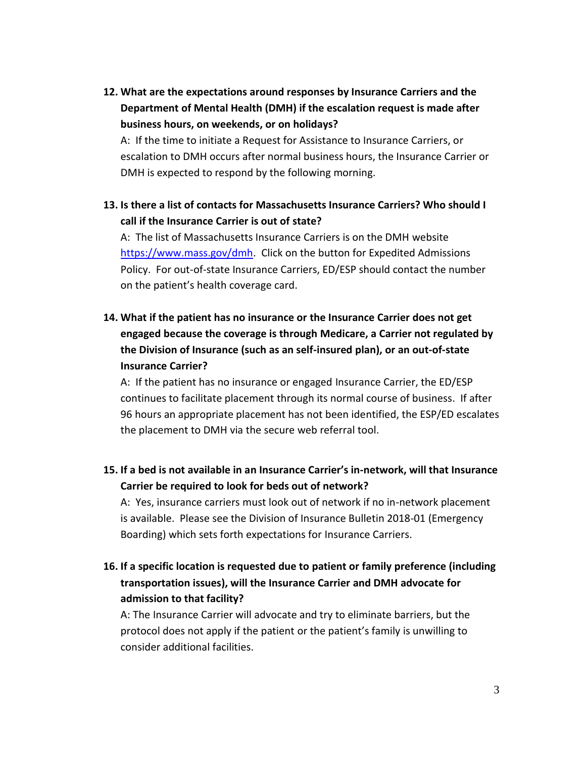**12. What are the expectations around responses by Insurance Carriers and the Department of Mental Health (DMH) if the escalation request is made after business hours, on weekends, or on holidays?**

A: If the time to initiate a Request for Assistance to Insurance Carriers, or escalation to DMH occurs after normal business hours, the Insurance Carrier or DMH is expected to respond by the following morning.

**13. Is there a list of contacts for Massachusetts Insurance Carriers? Who should I call if the Insurance Carrier is out of state?**

A: The list of Massachusetts Insurance Carriers is on the DMH website [https://www.mass.gov/dmh.](https://www.mass.gov/dmh) Click on the button for Expedited Admissions Policy. For out-of-state Insurance Carriers, ED/ESP should contact the number on the patient's health coverage card.

**14. What if the patient has no insurance or the Insurance Carrier does not get engaged because the coverage is through Medicare, a Carrier not regulated by the Division of Insurance (such as an self-insured plan), or an out-of-state Insurance Carrier?**

A: If the patient has no insurance or engaged Insurance Carrier, the ED/ESP continues to facilitate placement through its normal course of business. If after 96 hours an appropriate placement has not been identified, the ESP/ED escalates the placement to DMH via the secure web referral tool.

**15. If a bed is not available in an Insurance Carrier's in-network, will that Insurance Carrier be required to look for beds out of network?** 

A: Yes, insurance carriers must look out of network if no in-network placement is available. Please see the Division of Insurance Bulletin 2018-01 (Emergency Boarding) which sets forth expectations for Insurance Carriers.

**16. If a specific location is requested due to patient or family preference (including transportation issues), will the Insurance Carrier and DMH advocate for admission to that facility?**

A: The Insurance Carrier will advocate and try to eliminate barriers, but the protocol does not apply if the patient or the patient's family is unwilling to consider additional facilities.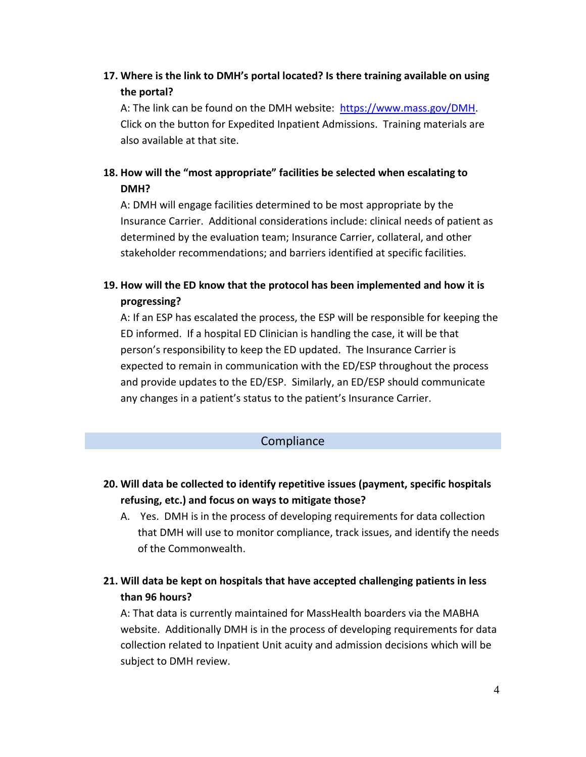# **17. Where is the link to DMH's portal located? Is there training available on using the portal?**

A: The link can be found on the DMH website: [https://www.mass.gov/DMH.](https://www.mass.gov/DMH) Click on the button for Expedited Inpatient Admissions. Training materials are also available at that site.

# **18. How will the "most appropriate" facilities be selected when escalating to DMH?**

A: DMH will engage facilities determined to be most appropriate by the Insurance Carrier. Additional considerations include: clinical needs of patient as determined by the evaluation team; Insurance Carrier, collateral, and other stakeholder recommendations; and barriers identified at specific facilities.

# **19. How will the ED know that the protocol has been implemented and how it is progressing?**

A: If an ESP has escalated the process, the ESP will be responsible for keeping the ED informed. If a hospital ED Clinician is handling the case, it will be that person's responsibility to keep the ED updated. The Insurance Carrier is expected to remain in communication with the ED/ESP throughout the process and provide updates to the ED/ESP. Similarly, an ED/ESP should communicate any changes in a patient's status to the patient's Insurance Carrier.

### **Compliance**

# **20. Will data be collected to identify repetitive issues (payment, specific hospitals refusing, etc.) and focus on ways to mitigate those?**

- A. Yes. DMH is in the process of developing requirements for data collection that DMH will use to monitor compliance, track issues, and identify the needs of the Commonwealth.
- **21. Will data be kept on hospitals that have accepted challenging patients in less than 96 hours?**

A: That data is currently maintained for MassHealth boarders via the MABHA website. Additionally DMH is in the process of developing requirements for data collection related to Inpatient Unit acuity and admission decisions which will be subject to DMH review.